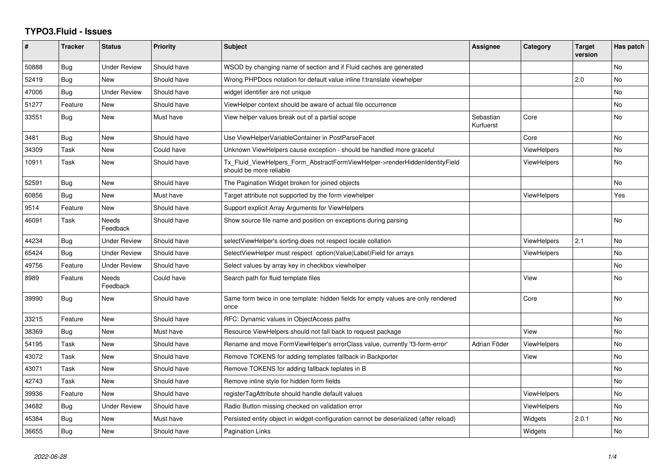## **TYPO3.Fluid - Issues**

| #     | <b>Tracker</b> | <b>Status</b>       | <b>Priority</b> | <b>Subject</b>                                                                                         | Assignee               | Category           | <b>Target</b><br>version | Has patch |
|-------|----------------|---------------------|-----------------|--------------------------------------------------------------------------------------------------------|------------------------|--------------------|--------------------------|-----------|
| 50888 | <b>Bug</b>     | <b>Under Review</b> | Should have     | WSOD by changing name of section and if Fluid caches are generated                                     |                        |                    |                          | <b>No</b> |
| 52419 | <b>Bug</b>     | New                 | Should have     | Wrong PHPDocs notation for default value inline f:translate viewhelper                                 |                        |                    | 2.0                      | <b>No</b> |
| 47006 | <b>Bug</b>     | <b>Under Review</b> | Should have     | widget identifier are not unique                                                                       |                        |                    |                          | <b>No</b> |
| 51277 | Feature        | <b>New</b>          | Should have     | ViewHelper context should be aware of actual file occurrence                                           |                        |                    |                          | <b>No</b> |
| 33551 | Bug            | New                 | Must have       | View helper values break out of a partial scope                                                        | Sebastian<br>Kurfuerst | Core               |                          | No        |
| 3481  | Bug            | New                 | Should have     | Use ViewHelperVariableContainer in PostParseFacet                                                      |                        | Core               |                          | <b>No</b> |
| 34309 | Task           | New                 | Could have      | Unknown ViewHelpers cause exception - should be handled more graceful                                  |                        | <b>ViewHelpers</b> |                          | No        |
| 10911 | Task           | <b>New</b>          | Should have     | Tx_Fluid_ViewHelpers_Form_AbstractFormViewHelper->renderHiddenIdentityField<br>should be more reliable |                        | <b>ViewHelpers</b> |                          | <b>No</b> |
| 52591 | Bug            | New                 | Should have     | The Pagination Widget broken for joined objects                                                        |                        |                    |                          | <b>No</b> |
| 60856 | Bug            | New                 | Must have       | Target attribute not supported by the form viewhelper                                                  |                        | <b>ViewHelpers</b> |                          | Yes       |
| 9514  | Feature        | New                 | Should have     | Support explicit Array Arguments for ViewHelpers                                                       |                        |                    |                          |           |
| 46091 | Task           | Needs<br>Feedback   | Should have     | Show source file name and position on exceptions during parsing                                        |                        |                    |                          | No        |
| 44234 | <b>Bug</b>     | Under Review        | Should have     | selectViewHelper's sorting does not respect locale collation                                           |                        | <b>ViewHelpers</b> | 2.1                      | <b>No</b> |
| 65424 | Bug            | Under Review        | Should have     | SelectViewHelper must respect option(Value Label)Field for arrays                                      |                        | <b>ViewHelpers</b> |                          | <b>No</b> |
| 49756 | Feature        | <b>Under Review</b> | Should have     | Select values by array key in checkbox viewhelper                                                      |                        |                    |                          | <b>No</b> |
| 8989  | Feature        | Needs<br>Feedback   | Could have      | Search path for fluid template files                                                                   |                        | View               |                          | No.       |
| 39990 | Bug            | New                 | Should have     | Same form twice in one template: hidden fields for empty values are only rendered<br>once              |                        | Core               |                          | <b>No</b> |
| 33215 | Feature        | New                 | Should have     | RFC: Dynamic values in ObjectAccess paths                                                              |                        |                    |                          | No        |
| 38369 | Bug            | New                 | Must have       | Resource ViewHelpers should not fall back to request package                                           |                        | View               |                          | No        |
| 54195 | Task           | New                 | Should have     | Rename and move FormViewHelper's errorClass value, currently 'f3-form-error'                           | Adrian Föder           | <b>ViewHelpers</b> |                          | <b>No</b> |
| 43072 | Task           | New                 | Should have     | Remove TOKENS for adding templates fallback in Backporter                                              |                        | View               |                          | No        |
| 43071 | Task           | <b>New</b>          | Should have     | Remove TOKENS for adding fallback teplates in B                                                        |                        |                    |                          | <b>No</b> |
| 42743 | Task           | New                 | Should have     | Remove inline style for hidden form fields                                                             |                        |                    |                          | No        |
| 39936 | Feature        | <b>New</b>          | Should have     | registerTagAttribute should handle default values                                                      |                        | <b>ViewHelpers</b> |                          | <b>No</b> |
| 34682 | Bug            | <b>Under Review</b> | Should have     | Radio Button missing checked on validation error                                                       |                        | <b>ViewHelpers</b> |                          | <b>No</b> |
| 45384 | Bug            | New                 | Must have       | Persisted entity object in widget-configuration cannot be deserialized (after reload)                  |                        | Widgets            | 2.0.1                    | No.       |
| 36655 | Bug            | New                 | Should have     | Pagination Links                                                                                       |                        | Widgets            |                          | <b>No</b> |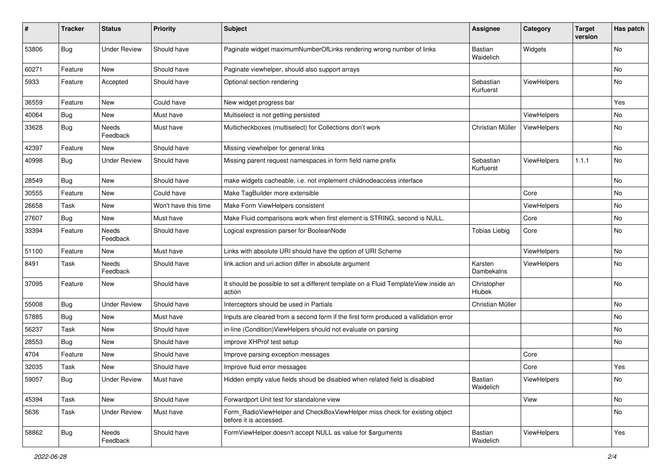| #     | <b>Tracker</b> | <b>Status</b>       | <b>Priority</b>      | <b>Subject</b>                                                                                       | <b>Assignee</b>              | Category           | <b>Target</b><br>version | Has patch |
|-------|----------------|---------------------|----------------------|------------------------------------------------------------------------------------------------------|------------------------------|--------------------|--------------------------|-----------|
| 53806 | Bug            | <b>Under Review</b> | Should have          | Paginate widget maximumNumberOfLinks rendering wrong number of links                                 | <b>Bastian</b><br>Waidelich  | Widgets            |                          | No        |
| 60271 | Feature        | New                 | Should have          | Paginate viewhelper, should also support arrays                                                      |                              |                    |                          | No        |
| 5933  | Feature        | Accepted            | Should have          | Optional section rendering                                                                           | Sebastian<br>Kurfuerst       | ViewHelpers        |                          | No        |
| 36559 | Feature        | New                 | Could have           | New widget progress bar                                                                              |                              |                    |                          | Yes       |
| 40064 | <b>Bug</b>     | New                 | Must have            | Multiselect is not getting persisted                                                                 |                              | ViewHelpers        |                          | No        |
| 33628 | Bug            | Needs<br>Feedback   | Must have            | Multicheckboxes (multiselect) for Collections don't work                                             | Christian Müller             | <b>ViewHelpers</b> |                          | No        |
| 42397 | Feature        | New                 | Should have          | Missing viewhelper for general links                                                                 |                              |                    |                          | No        |
| 40998 | Bug            | <b>Under Review</b> | Should have          | Missing parent request namespaces in form field name prefix                                          | Sebastian<br>Kurfuerst       | ViewHelpers        | 1.1.1                    | No        |
| 28549 | Bug            | New                 | Should have          | make widgets cacheable, i.e. not implement childnodeaccess interface                                 |                              |                    |                          | No        |
| 30555 | Feature        | New                 | Could have           | Make TagBuilder more extensible                                                                      |                              | Core               |                          | No        |
| 26658 | Task           | New                 | Won't have this time | Make Form ViewHelpers consistent                                                                     |                              | ViewHelpers        |                          | No        |
| 27607 | Bug            | New                 | Must have            | Make Fluid comparisons work when first element is STRING, second is NULL.                            |                              | Core               |                          | No        |
| 33394 | Feature        | Needs<br>Feedback   | Should have          | Logical expression parser for BooleanNode                                                            | <b>Tobias Liebig</b>         | Core               |                          | No        |
| 51100 | Feature        | New                 | Must have            | Links with absolute URI should have the option of URI Scheme                                         |                              | ViewHelpers        |                          | No        |
| 8491  | Task           | Needs<br>Feedback   | Should have          | link.action and uri.action differ in absolute argument                                               | Karsten<br>Dambekalns        | ViewHelpers        |                          | No        |
| 37095 | Feature        | New                 | Should have          | It should be possible to set a different template on a Fluid TemplateView inside an<br>action        | Christopher<br><b>Hlubek</b> |                    |                          | No        |
| 55008 | Bug            | <b>Under Review</b> | Should have          | Interceptors should be used in Partials                                                              | Christian Müller             |                    |                          | No        |
| 57885 | Bug            | New                 | Must have            | Inputs are cleared from a second form if the first form produced a vallidation error                 |                              |                    |                          | No        |
| 56237 | Task           | New                 | Should have          | in-line (Condition) View Helpers should not evaluate on parsing                                      |                              |                    |                          | No        |
| 28553 | Bug            | New                 | Should have          | improve XHProf test setup                                                                            |                              |                    |                          | No        |
| 4704  | Feature        | New                 | Should have          | Improve parsing exception messages                                                                   |                              | Core               |                          |           |
| 32035 | Task           | New                 | Should have          | Improve fluid error messages                                                                         |                              | Core               |                          | Yes       |
| 59057 | <b>Bug</b>     | <b>Under Review</b> | Must have            | Hidden empty value fields shoud be disabled when related field is disabled                           | Bastian<br>Waidelich         | ViewHelpers        |                          | No        |
| 45394 | Task           | New                 | Should have          | Forwardport Unit test for standalone view                                                            |                              | View               |                          | No        |
| 5636  | Task           | <b>Under Review</b> | Must have            | Form_RadioViewHelper and CheckBoxViewHelper miss check for existing object<br>before it is accessed. |                              |                    |                          | No        |
| 58862 | Bug            | Needs<br>Feedback   | Should have          | FormViewHelper doesn't accept NULL as value for \$arguments                                          | Bastian<br>Waidelich         | ViewHelpers        |                          | Yes       |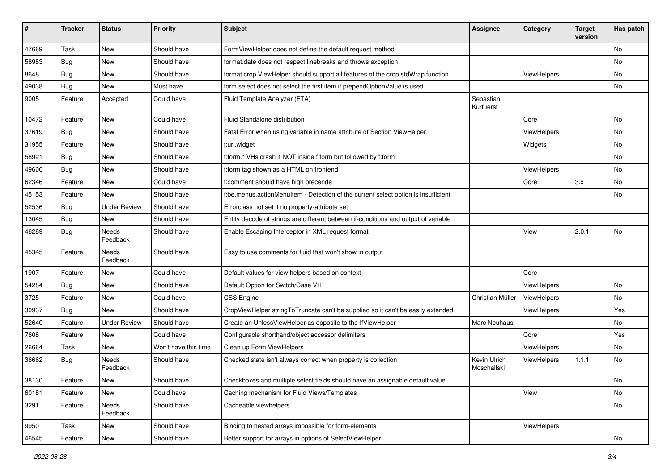| ∦     | <b>Tracker</b> | <b>Status</b>            | <b>Priority</b>      | <b>Subject</b>                                                                      | <b>Assignee</b>             | Category    | <b>Target</b><br>version | Has patch |
|-------|----------------|--------------------------|----------------------|-------------------------------------------------------------------------------------|-----------------------------|-------------|--------------------------|-----------|
| 47669 | Task           | New                      | Should have          | FormViewHelper does not define the default request method                           |                             |             |                          | No        |
| 58983 | Bug            | New                      | Should have          | format.date does not respect linebreaks and throws exception                        |                             |             |                          | No        |
| 8648  | Bug            | New                      | Should have          | format.crop ViewHelper should support all features of the crop stdWrap function     |                             | ViewHelpers |                          | No        |
| 49038 | Bug            | <b>New</b>               | Must have            | form.select does not select the first item if prependOptionValue is used            |                             |             |                          | No        |
| 9005  | Feature        | Accepted                 | Could have           | Fluid Template Analyzer (FTA)                                                       | Sebastian<br>Kurfuerst      |             |                          |           |
| 10472 | Feature        | New                      | Could have           | Fluid Standalone distribution                                                       |                             | Core        |                          | No        |
| 37619 | Bug            | New                      | Should have          | Fatal Error when using variable in name attribute of Section ViewHelper             |                             | ViewHelpers |                          | No        |
| 31955 | Feature        | <b>New</b>               | Should have          | f:uri.widget                                                                        |                             | Widgets     |                          | No        |
| 58921 | <b>Bug</b>     | New                      | Should have          | f:form.* VHs crash if NOT inside f:form but followed by f:form                      |                             |             |                          | No        |
| 49600 | Bug            | New                      | Should have          | f:form tag shown as a HTML on frontend                                              |                             | ViewHelpers |                          | No.       |
| 62346 | Feature        | New                      | Could have           | f:comment should have high precende                                                 |                             | Core        | 3.x                      | No        |
| 45153 | Feature        | New                      | Should have          | f:be.menus.actionMenuItem - Detection of the current select option is insufficient  |                             |             |                          | No        |
| 52536 | Bug            | <b>Under Review</b>      | Should have          | Errorclass not set if no property-attribute set                                     |                             |             |                          |           |
| 13045 | Bug            | New                      | Should have          | Entity decode of strings are different between if-conditions and output of variable |                             |             |                          |           |
| 46289 | Bug            | Needs<br>Feedback        | Should have          | Enable Escaping Interceptor in XML request format                                   |                             | View        | 2.0.1                    | No        |
| 45345 | Feature        | Needs<br>Feedback        | Should have          | Easy to use comments for fluid that won't show in output                            |                             |             |                          |           |
| 1907  | Feature        | New                      | Could have           | Default values for view helpers based on context                                    |                             | Core        |                          |           |
| 54284 | Bug            | New                      | Should have          | Default Option for Switch/Case VH                                                   |                             | ViewHelpers |                          | No        |
| 3725  | Feature        | New                      | Could have           | <b>CSS Engine</b>                                                                   | Christian Müller            | ViewHelpers |                          | No        |
| 30937 | Bug            | <b>New</b>               | Should have          | CropViewHelper stringToTruncate can't be supplied so it can't be easily extended    |                             | ViewHelpers |                          | Yes       |
| 52640 | Feature        | <b>Under Review</b>      | Should have          | Create an UnlessViewHelper as opposite to the IfViewHelper                          | Marc Neuhaus                |             |                          | No        |
| 7608  | Feature        | New                      | Could have           | Configurable shorthand/object accessor delimiters                                   |                             | Core        |                          | Yes       |
| 26664 | Task           | New                      | Won't have this time | Clean up Form ViewHelpers                                                           |                             | ViewHelpers |                          | No        |
| 36662 | Bug            | <b>Needs</b><br>Feedback | Should have          | Checked state isn't always correct when property is collection                      | Kevin Ulrich<br>Moschallski | ViewHelpers | 1.1.1                    | No        |
| 38130 | Feature        | New                      | Should have          | Checkboxes and multiple select fields should have an assignable default value       |                             |             |                          | No        |
| 60181 | Feature        | New                      | Could have           | Caching mechanism for Fluid Views/Templates                                         |                             | View        |                          | No        |
| 3291  | Feature        | Needs<br>Feedback        | Should have          | Cacheable viewhelpers                                                               |                             |             |                          | No        |
| 9950  | Task           | New                      | Should have          | Binding to nested arrays impossible for form-elements                               |                             | ViewHelpers |                          |           |
| 46545 | Feature        | New                      | Should have          | Better support for arrays in options of SelectViewHelper                            |                             |             |                          | No        |